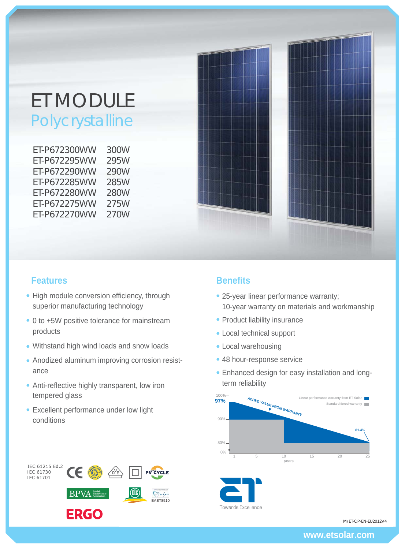# ET MODULE Polycrystalline

| ET-P672300WW | 300W |
|--------------|------|
| ET-P672295WW | 295W |
| ET-P672290WW | 290W |
| ET-P672285WW | 285W |
| ET-P672280WW | 280W |
| ET-P672275WW | 275W |
| ET-P672270WW | 270W |



# **Features**

IEC 61730 IEC 61701

IEC 61215 Ed.2

- High module conversion efficiency, through superior manufacturing technology
- 0 to +5W positive tolerance for mainstream products
- Withstand high wind loads and snow loads
- Anodized aluminum improving corrosion resistance

 $\sqrt{D'E}$ 

(OIG)

- Anti-reflective highly transparent, low iron tempered glass
- Excellent performance under low light conditions

**CE** 

 $B\text{PVA}$   $_{\text{As}}^{\text{Br}}$ 

**ERGO** 

# **Benefits**

- 25-year linear performance warranty; 10-year warranty on materials and workmanship
- Product liability insurance
- Local technical support
- Local warehousing
- 48 hour-response service
- Enhanced design for easy installation and longterm reliability





BABT8510

 $\bigcirc$  a Aux

**PV CYCLE** 

M/ET-CP-EN-EU2012V4